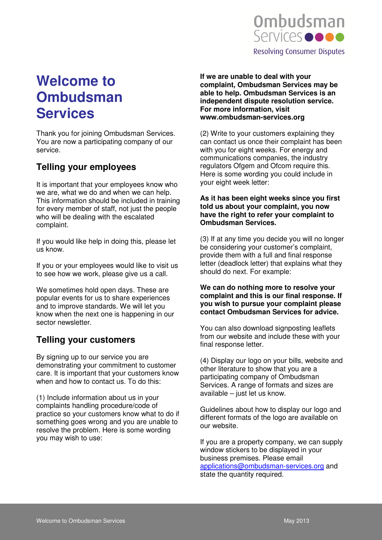

# **Welcome to Ombudsman Services**

Thank you for joining Ombudsman Services. You are now a participating company of our service.

# **Telling your employees**

It is important that your employees know who we are, what we do and when we can help. This information should be included in training for every member of staff, not just the people who will be dealing with the escalated complaint.

If you would like help in doing this, please let us know.

If you or your employees would like to visit us to see how we work, please give us a call.

We sometimes hold open days. These are popular events for us to share experiences and to improve standards. We will let you know when the next one is happening in our sector newsletter.

### **Telling your customers**

By signing up to our service you are demonstrating your commitment to customer care. It is important that your customers know when and how to contact us. To do this:

(1) Include information about us in your complaints handling procedure/code of practice so your customers know what to do if something goes wrong and you are unable to resolve the problem. Here is some wording you may wish to use:

**If we are unable to deal with your complaint, Ombudsman Services may be able to help. Ombudsman Services is an independent dispute resolution service. For more information, visit www.ombudsman-services.org** 

(2) Write to your customers explaining they can contact us once their complaint has been with you for eight weeks. For energy and communications companies, the industry regulators Ofgem and Ofcom require this. Here is some wording you could include in your eight week letter:

#### **As it has been eight weeks since you first told us about your complaint, you now have the right to refer your complaint to Ombudsman Services.**

(3) If at any time you decide you will no longer be considering your customer's complaint, provide them with a full and final response letter (deadlock letter) that explains what they should do next. For example:

#### **We can do nothing more to resolve your complaint and this is our final response. If you wish to pursue your complaint please contact Ombudsman Services for advice.**

You can also download signposting leaflets from our website and include these with your final response letter.

(4) Display our logo on your bills, website and other literature to show that you are a participating company of Ombudsman Services. A range of formats and sizes are available – just let us know.

Guidelines about how to display our logo and different formats of the logo are available on our website.

If you are a property company, we can supply window stickers to be displayed in your business premises. Please email applications@ombudsman-services.org and state the quantity required.